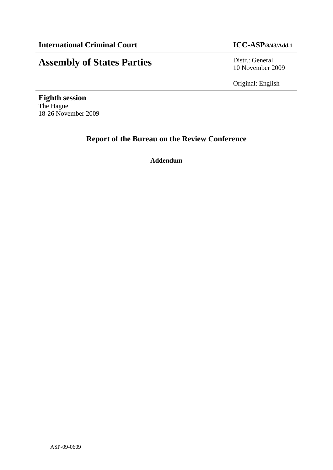# **Assembly of States Parties** Distr.: General

10 November 2009

Original: English

**Eighth session**  The Hague 18-26 November 2009

## **Report of the Bureau on the Review Conference**

**Addendum**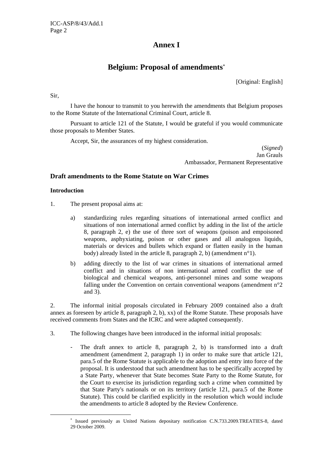### **Annex I**

### **Belgium: Proposal of amendments**<sup>∗</sup>

[Original: English]

Sir,

I have the honour to transmit to you herewith the amendments that Belgium proposes to the Rome Statute of the International Criminal Court, article 8.

Pursuant to article 121 of the Statute, I would be grateful if you would communicate those proposals to Member States.

Accept, Sir, the assurances of my highest consideration.

(*Signed*) Jan Grauls Ambassador, Permanent Representative

### **Draft amendments to the Rome Statute on War Crimes**

### **Introduction**

 $\overline{a}$ 

- 1. The present proposal aims at:
	- a) standardizing rules regarding situations of international armed conflict and situations of non international armed conflict by adding in the list of the article 8, paragraph 2, e) the use of three sort of weapons (poison and empoisoned weapons, asphyxiating, poison or other gases and all analogous liquids, materials or devices and bullets which expand or flatten easily in the human body) already listed in the article 8, paragraph 2, b) (amendment n°1).
	- b) adding directly to the list of war crimes in situations of international armed conflict and in situations of non international armed conflict the use of biological and chemical weapons, anti-personnel mines and some weapons falling under the Convention on certain conventional weapons (amendment n°2 and 3).

2. The informal initial proposals circulated in February 2009 contained also a draft annex as foreseen by article 8, paragraph 2, b), xx) of the Rome Statute. These proposals have received comments from States and the ICRC and were adapted consequently.

- 3. The following changes have been introduced in the informal initial proposals:
	- The draft annex to article 8, paragraph 2, b) is transformed into a draft amendment (amendment 2, paragraph 1) in order to make sure that article 121, para.5 of the Rome Statute is applicable to the adoption and entry into force of the proposal. It is understood that such amendment has to be specifically accepted by a State Party, whenever that State becomes State Party to the Rome Statute, for the Court to exercise its jurisdiction regarding such a crime when committed by that State Party's nationals or on its territory (article 121, para.5 of the Rome Statute). This could be clarified explicitly in the resolution which would include the amendments to article 8 adopted by the Review Conference.

<sup>∗</sup> Issued previously as United Nations depositary notification C.N.733.2009.TREATIES-8, dated 29 October 2009.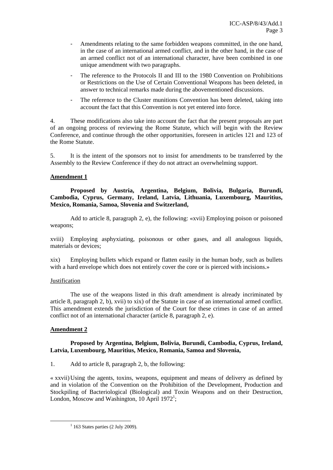- Amendments relating to the same forbidden weapons committed, in the one hand, in the case of an international armed conflict, and in the other hand, in the case of an armed conflict not of an international character, have been combined in one unique amendment with two paragraphs.
- The reference to the Protocols II and III to the 1980 Convention on Prohibitions or Restrictions on the Use of Certain Conventional Weapons has been deleted, in answer to technical remarks made during the abovementioned discussions.
- The reference to the Cluster munitions Convention has been deleted, taking into account the fact that this Convention is not yet entered into force.

4. These modifications also take into account the fact that the present proposals are part of an ongoing process of reviewing the Rome Statute, which will begin with the Review Conference, and continue through the other opportunities, foreseen in articles 121 and 123 of the Rome Statute.

5. It is the intent of the sponsors not to insist for amendments to be transferred by the Assembly to the Review Conference if they do not attract an overwhelming support.

### **Amendment 1**

**Proposed by Austria, Argentina, Belgium, Bolivia, Bulgaria, Burundi, Cambodia, Cyprus, Germany, Ireland, Latvia, Lithuania, Luxembourg, Mauritius, Mexico, Romania, Samoa, Slovenia and Switzerland,**

Add to article 8, paragraph 2, e), the following: «xvii) Employing poison or poisoned weapons;

xviii) Employing asphyxiating, poisonous or other gases, and all analogous liquids, materials or devices;

xix) Employing bullets which expand or flatten easily in the human body, such as bullets with a hard envelope which does not entirely cover the core or is pierced with incisions.»

### Justification

The use of the weapons listed in this draft amendment is already incriminated by article 8, paragraph 2, b), xvii) to xix) of the Statute in case of an international armed conflict. This amendment extends the jurisdiction of the Court for these crimes in case of an armed conflict not of an international character (article 8, paragraph 2, e).

### **Amendment 2**

### **Proposed by Argentina, Belgium, Bolivia, Burundi, Cambodia, Cyprus, Ireland, Latvia, Luxembourg, Mauritius, Mexico, Romania, Samoa and Slovenia,**

1. Add to article 8, paragraph 2, b, the following:

« xxvii) Using the agents, toxins, weapons, equipment and means of delivery as defined by and in violation of the Convention on the Prohibition of the Development, Production and Stockpiling of Bacteriological (Biological) and Toxin Weapons and on their Destruction, London, Moscow and Washington,  $10$  April 1972<sup>1</sup>;

 $\frac{1}{1}$  $1$  163 States parties (2 July 2009).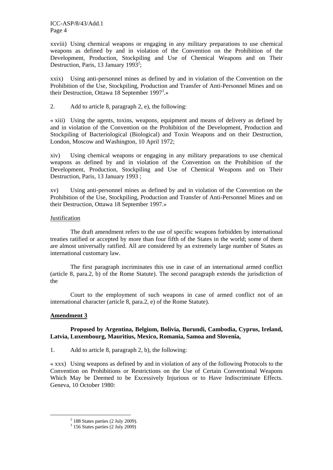xxviii) Using chemical weapons or engaging in any military preparations to use chemical weapons as defined by and in violation of the Convention on the Prohibition of the Development, Production, Stockpiling and Use of Chemical Weapons and on Their Destruction, Paris, 13 January 1993<sup>2</sup>;

xxix) Using anti-personnel mines as defined by and in violation of the Convention on the Prohibition of the Use, Stockpiling, Production and Transfer of Anti-Personnel Mines and on their Destruction, Ottawa 18 September 1997<sup>3</sup>.»

2. Add to article 8, paragraph 2, e), the following:

« xiii) Using the agents, toxins, weapons, equipment and means of delivery as defined by and in violation of the Convention on the Prohibition of the Development, Production and Stockpiling of Bacteriological (Biological) and Toxin Weapons and on their Destruction, London, Moscow and Washington, 10 April 1972;

xiv) Using chemical weapons or engaging in any military preparations to use chemical weapons as defined by and in violation of the Convention on the Prohibition of the Development, Production, Stockpiling and Use of Chemical Weapons and on Their Destruction, Paris, 13 January 1993 ;

xv) Using anti-personnel mines as defined by and in violation of the Convention on the Prohibition of the Use, Stockpiling, Production and Transfer of Anti-Personnel Mines and on their Destruction, Ottawa 18 September 1997.»

### Justification

The draft amendment refers to the use of specific weapons forbidden by international treaties ratified or accepted by more than four fifth of the States in the world; some of them are almost universally ratified. All are considered by an extremely large number of States as international customary law.

The first paragraph incriminates this use in case of an international armed conflict (article 8, para.2, b) of the Rome Statute). The second paragraph extends the jurisdiction of the

Court to the employment of such weapons in case of armed conflict not of an international character (article 8, para.2, e) of the Rome Statute).

### **Amendment 3**

### **Proposed by Argentina, Belgium, Bolivia, Burundi, Cambodia, Cyprus, Ireland, Latvia, Luxembourg, Mauritius, Mexico, Romania, Samoa and Slovenia,**

1. Add to article 8, paragraph 2, b), the following:

« xxx) Using weapons as defined by and in violation of any of the following Protocols to the Convention on Prohibitions or Restrictions on the Use of Certain Conventional Weapons Which May be Deemed to be Excessively Injurious or to Have Indiscriminate Effects. Geneva, 10 October 1980:

 $\frac{1}{2}$  $2$  188 States parties (2 July 2009).

<sup>3</sup> 156 States parties (2 July 2009)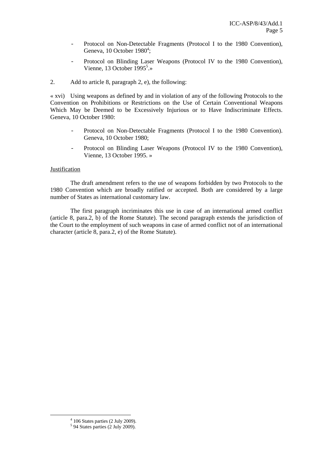- Protocol on Non-Detectable Fragments (Protocol I to the 1980 Convention), Geneva, 10 October 1980<sup>4</sup>;
- Protocol on Blinding Laser Weapons (Protocol IV to the 1980 Convention), Vienne, 13 October  $1995^5$ .»
- 2. Add to article 8, paragraph 2, e), the following:

« xvi) Using weapons as defined by and in violation of any of the following Protocols to the Convention on Prohibitions or Restrictions on the Use of Certain Conventional Weapons Which May be Deemed to be Excessively Injurious or to Have Indiscriminate Effects. Geneva, 10 October 1980:

- Protocol on Non-Detectable Fragments (Protocol I to the 1980 Convention). Geneva, 10 October 1980;
- Protocol on Blinding Laser Weapons (Protocol IV to the 1980 Convention), Vienne, 13 October 1995. »

### Justification

The draft amendment refers to the use of weapons forbidden by two Protocols to the 1980 Convention which are broadly ratified or accepted. Both are considered by a large number of States as international customary law.

The first paragraph incriminates this use in case of an international armed conflict (article 8, para.2, b) of the Rome Statute). The second paragraph extends the jurisdiction of the Court to the employment of such weapons in case of armed conflict not of an international character (article 8, para.2, e) of the Rome Statute).

 $\frac{1}{4}$  $4$  106 States parties (2 July 2009).

 $<sup>5</sup>$  94 States parties (2 July 2009).</sup>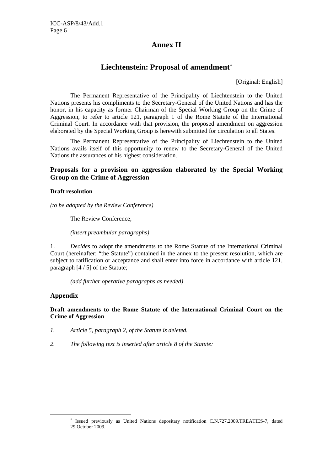### **Annex II**

### **Liechtenstein: Proposal of amendment**<sup>∗</sup>

[Original: English]

The Permanent Representative of the Principality of Liechtenstein to the United Nations presents his compliments to the Secretary-General of the United Nations and has the honor, in his capacity as former Chairman of the Special Working Group on the Crime of Aggression, to refer to article 121, paragraph 1 of the Rome Statute of the International Criminal Court. In accordance with that provision, the proposed amendment on aggression elaborated by the Special Working Group is herewith submitted for circulation to all States.

The Permanent Representative of the Principality of Liechtenstein to the United Nations avails itself of this opportunity to renew to the Secretary-General of the United Nations the assurances of his highest consideration.

### **Proposals for a provision on aggression elaborated by the Special Working Group on the Crime of Aggression**

### **Draft resolution**

*(to be adopted by the Review Conference)* 

The Review Conference,

 *(insert preambular paragraphs)* 

1. *Decides* to adopt the amendments to the Rome Statute of the International Criminal Court (hereinafter: "the Statute") contained in the annex to the present resolution, which are subject to ratification or acceptance and shall enter into force in accordance with article 121, paragraph [4 / 5] of the Statute;

 *(add further operative paragraphs as needed)* 

### **Appendix**

 $\overline{a}$ 

**Draft amendments to the Rome Statute of the International Criminal Court on the Crime of Aggression** 

- *1. Article 5, paragraph 2, of the Statute is deleted.*
- *2. The following text is inserted after article 8 of the Statute:*

<sup>∗</sup> Issued previously as United Nations depositary notification C.N.727.2009.TREATIES-7, dated 29 October 2009.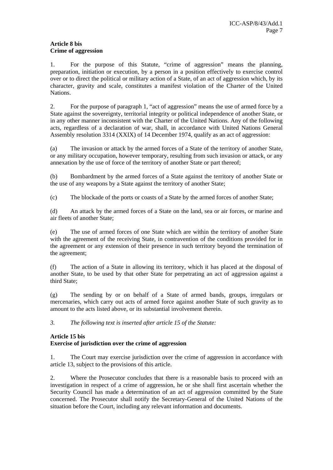### **Article 8 bis Crime of aggression**

1. For the purpose of this Statute, "crime of aggression" means the planning, preparation, initiation or execution, by a person in a position effectively to exercise control over or to direct the political or military action of a State, of an act of aggression which, by its character, gravity and scale, constitutes a manifest violation of the Charter of the United Nations.

2. For the purpose of paragraph 1, "act of aggression" means the use of armed force by a State against the sovereignty, territorial integrity or political independence of another State, or in any other manner inconsistent with the Charter of the United Nations. Any of the following acts, regardless of a declaration of war, shall, in accordance with United Nations General Assembly resolution 3314 (XXIX) of 14 December 1974, qualify as an act of aggression:

(a) The invasion or attack by the armed forces of a State of the territory of another State, or any military occupation, however temporary, resulting from such invasion or attack, or any annexation by the use of force of the territory of another State or part thereof;

(b) Bombardment by the armed forces of a State against the territory of another State or the use of any weapons by a State against the territory of another State;

(c) The blockade of the ports or coasts of a State by the armed forces of another State;

(d) An attack by the armed forces of a State on the land, sea or air forces, or marine and air fleets of another State;

(e) The use of armed forces of one State which are within the territory of another State with the agreement of the receiving State, in contravention of the conditions provided for in the agreement or any extension of their presence in such territory beyond the termination of the agreement;

(f) The action of a State in allowing its territory, which it has placed at the disposal of another State, to be used by that other State for perpetrating an act of aggression against a third State;

(g) The sending by or on behalf of a State of armed bands, groups, irregulars or mercenaries, which carry out acts of armed force against another State of such gravity as to amount to the acts listed above, or its substantial involvement therein.

*3. The following text is inserted after article 15 of the Statute:* 

### **Article 15 bis**

### **Exercise of jurisdiction over the crime of aggression**

1. The Court may exercise jurisdiction over the crime of aggression in accordance with article 13, subject to the provisions of this article.

2. Where the Prosecutor concludes that there is a reasonable basis to proceed with an investigation in respect of a crime of aggression, he or she shall first ascertain whether the Security Council has made a determination of an act of aggression committed by the State concerned. The Prosecutor shall notify the Secretary-General of the United Nations of the situation before the Court, including any relevant information and documents.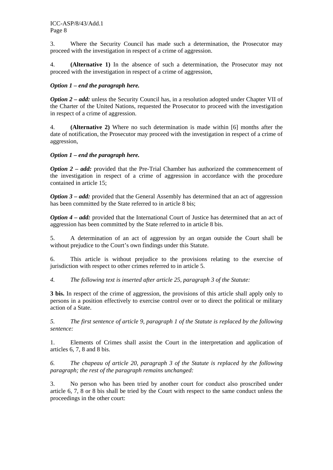3. Where the Security Council has made such a determination, the Prosecutor may proceed with the investigation in respect of a crime of aggression.

4. **(Alternative 1)** In the absence of such a determination, the Prosecutor may not proceed with the investigation in respect of a crime of aggression,

### *Option 1 – end the paragraph here.*

*Option 2 – add:* unless the Security Council has, in a resolution adopted under Chapter VII of the Charter of the United Nations, requested the Prosecutor to proceed with the investigation in respect of a crime of aggression.

4. **(Alternative 2)** Where no such determination is made within [6] months after the date of notification, the Prosecutor may proceed with the investigation in respect of a crime of aggression,

### *Option 1 – end the paragraph here.*

*Option 2 – add:* provided that the Pre-Trial Chamber has authorized the commencement of the investigation in respect of a crime of aggression in accordance with the procedure contained in article 15;

*Option 3 – add:* provided that the General Assembly has determined that an act of aggression has been committed by the State referred to in article 8 bis;

*Option 4 – add:* provided that the International Court of Justice has determined that an act of aggression has been committed by the State referred to in article 8 bis.

5. A determination of an act of aggression by an organ outside the Court shall be without prejudice to the Court's own findings under this Statute.

6. This article is without prejudice to the provisions relating to the exercise of jurisdiction with respect to other crimes referred to in article 5.

*4. The following text is inserted after article 25, paragraph 3 of the Statute:* 

**3 bis.** In respect of the crime of aggression, the provisions of this article shall apply only to persons in a position effectively to exercise control over or to direct the political or military action of a State.

*5. The first sentence of article 9, paragraph 1 of the Statute is replaced by the following sentence:* 

1. Elements of Crimes shall assist the Court in the interpretation and application of articles 6, 7, 8 and 8 bis.

*6. The chapeau of article 20, paragraph 3 of the Statute is replaced by the following paragraph; the rest of the paragraph remains unchanged:* 

3. No person who has been tried by another court for conduct also proscribed under article 6, 7, 8 or 8 bis shall be tried by the Court with respect to the same conduct unless the proceedings in the other court: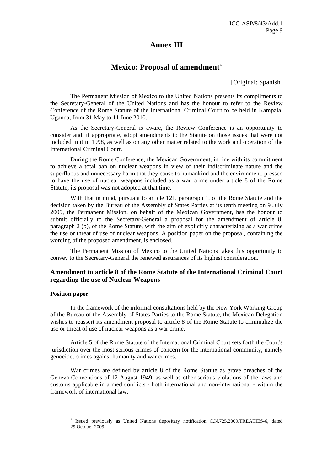### **Annex III**

### **Mexico: Proposal of amendment**<sup>∗</sup>

[Original: Spanish]

The Permanent Mission of Mexico to the United Nations presents its compliments to the Secretary-General of the United Nations and has the honour to refer to the Review Conference of the Rome Statute of the International Criminal Court to be held in Kampala, Uganda, from 31 May to 11 June 2010.

As the Secretary-General is aware, the Review Conference is an opportunity to consider and, if appropriate, adopt amendments to the Statute on those issues that were not included in it in 1998, as well as on any other matter related to the work and operation of the International Criminal Court.

During the Rome Conference, the Mexican Government, in line with its commitment to achieve a total ban on nuclear weapons in view of their indiscriminate nature and the superfluous and unnecessary harm that they cause to humankind and the environment, pressed to have the use of nuclear weapons included as a war crime under article 8 of the Rome Statute; its proposal was not adopted at that time.

With that in mind, pursuant to article 121, paragraph 1, of the Rome Statute and the decision taken by the Bureau of the Assembly of States Parties at its tenth meeting on 9 July 2009, the Permanent Mission, on behalf of the Mexican Government, has the honour to submit officially to the Secretary-General a proposal for the amendment of article 8, paragraph 2 (b), of the Rome Statute, with the aim of explicitly characterizing as a war crime the use or threat of use of nuclear weapons. A position paper on the proposal, containing the wording of the proposed amendment, is enclosed.

The Permanent Mission of Mexico to the United Nations takes this opportunity to convey to the Secretary-General the renewed assurances of its highest consideration.

### **Amendment to article 8 of the Rome Statute of the International Criminal Court regarding the use of Nuclear Weapons**

### **Position paper**

 $\overline{a}$ 

In the framework of the informal consultations held by the New York Working Group of the Bureau of the Assembly of States Parties to the Rome Statute, the Mexican Delegation wishes to reassert its amendment proposal to article 8 of the Rome Statute to criminalize the use or threat of use of nuclear weapons as a war crime.

Article 5 of the Rome Statute of the International Criminal Court sets forth the Court's jurisdiction over the most serious crimes of concern for the international community, namely genocide, crimes against humanity and war crimes.

War crimes are defined by article 8 of the Rome Statute as grave breaches of the Geneva Conventions of 12 August 1949, as well as other serious violations of the laws and customs applicable in armed conflicts - both international and non-international - within the framework of international law.

<sup>∗</sup> Issued previously as United Nations depositary notification C.N.725.2009.TREATIES-6, dated 29 October 2009.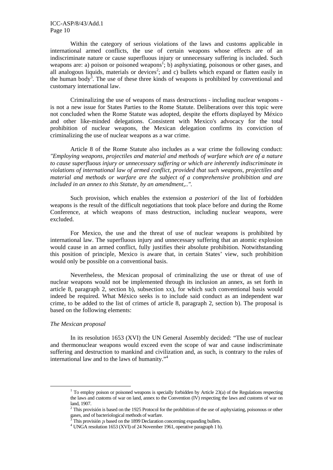Within the category of serious violations of the laws and customs applicable in international armed conflicts, the use of certain weapons whose effects are of an indiscriminate nature or cause superfluous injury or unnecessary suffering is included. Such weapons are: a) poison or poisoned weapons<sup>1</sup>; b) asphyxiating, poisonous or other gases, and all analogous liquids, materials or devices<sup>2</sup>; and c) bullets which expand or flatten easily in the human body<sup>3</sup>. The use of these three kinds of weapons is prohibited by conventional and customary international law.

Criminalizing the use of weapons of mass destructions - including nuclear weapons is not a new issue for States Parties to the Rome Statute. Deliberations over this topic were not concluded when the Rome Statute was adopted, despite the efforts displayed by México and other like-minded delegations. Consistent with Mexico's advocacy for the total prohibition of nuclear weapons, the Mexican delegation confirms its conviction of criminalizing the use of nuclear weapons as a war crime.

Article 8 of the Rome Statute also includes as a war crime the following conduct: *"Employing weapons, projectiles and material and methods of warfare which are of a nature to cause superfluous injury or unnecessary suffering or which are inherently indiscriminate in violations of international law of armed conflict, provided that such weapons, projectiles and material and methods or warfare are the subject of a comprehensive prohibition and are included in an annex to this Statute, by an amendment,..".*

Such provision, which enables the extension *a posteriori* of the list of forbidden weapons is the result of the difficult negotiations that took place before and during the Rome Conference, at which weapons of mass destruction, including nuclear weapons, were excluded.

For Mexico, the use and the threat of use of nuclear weapons is prohibited by international law. The superfluous injury and unnecessary suffering that an atomic explosion would cause in an armed conflict, fully justifies their absolute prohibition. Notwithstanding this position of principle, Mexico is aware that, in certain States' view, such prohibition would only be possible on a conventional basis.

Nevertheless, the Mexican proposal of criminalizing the use or threat of use of nuclear weapons would not be implemented through its inclusion an annex, as set forth in article 8, paragraph 2, section b), subsection xx), for which such conventional basis would indeed be required. What México seeks is to include said conduct as an independent war crime, to be added to the list of crimes of article 8, paragraph 2, section b). The proposal is based on the following elements:

#### *The Mexican proposal*

In its resolution 1653 (XVI) the UN General Assembly decided: "The use of nuclear and thermonuclear weapons would exceed even the scope of war and cause indiscriminate suffering and destruction to mankind and civilization and, as such, is contrary to the rules of international law and to the laws of humanity."4

 $\frac{1}{1}$  $1$  To employ poison or poisoned weapons is specially forbidden by Article 23(a) of the Regulations respecting the laws and customs of war on land, annex to the Convention (IV) respecting the laws and customs of war on land, 1907.

 $<sup>2</sup>$  This provisión is based on the 1925 Protocol for the prohibition of the use of asphyxiating, poisonous or other</sup>

gases, and of bacteriological methods of warfare.<br>
<sup>3</sup> This provisión <sub>i</sub>s based on the 1899 Declaration concerning expanding bullets.<br>
<sup>4</sup> UNGA resolution 1653 (XVD of 24 November 1061, constitue percents 1 b)

UNGA resolution 1653 (XVI) of 24 November 1961, operative paragraph 1 b).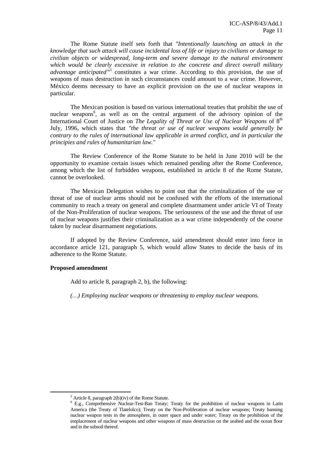The Rome Statute itself sets forth that *"Intentionally launching an attack in the knowledge that such attack will cause incidental loss of life or injury to civilians or damage to civilian objects or widespread, long-term and severe damage to the natural environment which would be clearly excessive in relation to the concrete and direct overall military advantage anticipated*<sup>35</sup> constitutes a war crime. According to this provision, the use of weapons of mass destruction in such circumstances could amount to a war crime. However, México deems necessary to have an explicit provision on the use of nuclear weapons in particular.

The Mexican position is based on various international treaties that prohibit the use of nuclear weapons<sup>6</sup>, as well as on the central argument of the advisory opinion of the International Court of Justice on *The Legality of Threat or Use of Nuclear Weapons* of 8<sup>th</sup> July, 1996, which states that *"the threat or use of nuclear weapons would generally be contrary to the rules of international law applicable in armed conflict, and in particular the principies and rules of humanitarian law."*

The Review Conference of the Rome Statute to be held in June 2010 will be the opportunity to examine certain issues which remained pending after the Rome Conference, among which the list of forbidden weapons, established in article 8 of the Rome Statute, cannot be overlooked.

The Mexican Delegation wishes to point out that the criminalization of the use or threat of use of nuclear arms should not be confused with the efforts of the international community to reach a treaty on general and complete disarmament under article VI of Treaty of the Non-Proliferation of nuclear weapons. The seriousness of the use and the threat of use of nuclear weapons justifies their criminalization as a war crime independently of the course taken by nuclear disarmament negotiations.

If adopted by the Review Conference, said amendment should enter into force in accordance article 121, paragraph 5, which would allow States to decide the basis of its adherence to the Rome Statute.

#### **Proposed amendment**

Add to article 8, paragraph 2, b), the following:

*(…) Employing nuclear weapons or threatening to employ nuclear weapons.*

 $rac{1}{5}$  $5$  Article 8, paragraph 2(b)(iv) of the Rome Statute.

<sup>&</sup>lt;sup>6</sup> E.g., Comprehensive Nuclear-Test-Ban Treaty; Treaty for the prohibition of nuclear weapons in Latin America (the Treaty of Tlatelolco); Treaty on the Non-Proliferation of nuclear weapons; Treaty banning nuclear weapon tests in the atmosphere, in outer space and under water; Treaty on the prohibition of the emplacement of nuclear weapons and other weapons of mass destruction on the seabed and the ocean floor and in the subsoil thereof.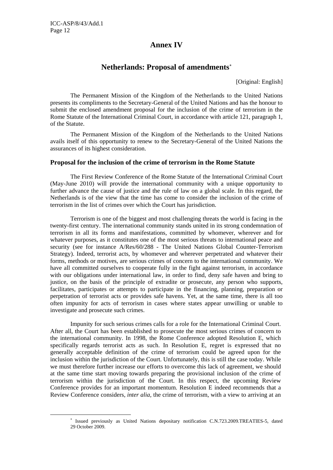$\overline{a}$ 

### **Annex IV**

### **Netherlands: Proposal of amendments**<sup>∗</sup>

[Original: English]

The Permanent Mission of the Kingdom of the Netherlands to the United Nations presents its compliments to the Secretary-General of the United Nations and has the honour to submit the enclosed amendment proposal for the inclusion of the crime of terrorism in the Rome Statute of the International Criminal Court, in accordance with article 121, paragraph 1, of the Statute.

The Permanent Mission of the Kingdom of the Netherlands to the United Nations avails itself of this opportunity to renew to the Secretary-General of the United Nations the assurances of its highest consideration.

#### **Proposal for the inclusion of the crime of terrorism in the Rome Statute**

The First Review Conference of the Rome Statute of the International Criminal Court (May-June 2010) will provide the international community with a unique opportunity to further advance the cause of justice and the rule of law on a global scale. In this regard, the Netherlands is of the view that the time has come to consider the inclusion of the crime of terrorism in the list of crimes over which the Court has jurisdiction.

Terrorism is one of the biggest and most challenging threats the world is facing in the twenty-first century. The international community stands united in its strong condemnation of terrorism in all its forms and manifestations, committed by whomever, wherever and for whatever purposes, as it constitutes one of the most serious threats to international peace and security (see for instance A/Res/60/288 - The United Nations Global Counter-Terrorism Strategy). Indeed, terrorist acts, by whomever and wherever perpetrated and whatever their forms, methods or motives, are serious crimes of concern to the international community. We have all committed ourselves to cooperate fully in the fight against terrorism, in accordance with our obligations under international law, in order to find, deny safe haven and bring to justice, on the basis of the principle of extradite or prosecute, any person who supports, facilitates, participates or attempts to participate in the financing, planning, preparation or perpetration of terrorist acts or provides safe havens. Yet, at the same time, there is all too often impunity for acts of terrorism in cases where states appear unwilling or unable to investigate and prosecute such crimes.

Impunity for such serious crimes calls for a role for the International Criminal Court. After all, the Court has been established to prosecute the most serious crimes of concern to the international community. In 1998, the Rome Conference adopted Resolution E, which specifically regards terrorist acts as such. In Resolution E, regret is expressed that no generally acceptable definition of the crime of terrorism could be agreed upon for the inclusion within the jurisdiction of the Court. Unfortunately, this is still the case today. While we must therefore further increase our efforts to overcome this lack of agreement, we should at the same time start moving towards preparing the provisional inclusion of the crime of terrorism within the jurisdiction of the Court. In this respect, the upcoming Review Conference provides for an important momentum. Resolution E indeed recommends that a Review Conference considers, *inter alia,* the crime of terrorism, with a view to arriving at an

<sup>∗</sup> Issued previously as United Nations depositary notification C.N.723.2009.TREATIES-5, dated 29 October 2009.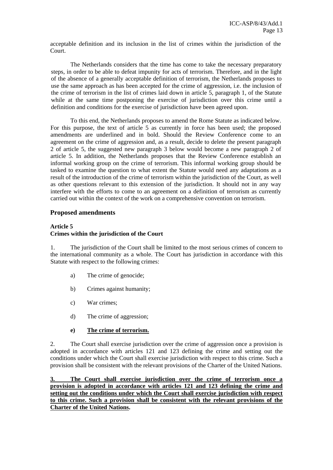acceptable definition and its inclusion in the list of crimes within the jurisdiction of the Court.

The Netherlands considers that the time has come to take the necessary preparatory steps, in order to be able to defeat impunity for acts of terrorism. Therefore, and in the light of the absence of a generally acceptable definition of terrorism, the Netherlands proposes to use the same approach as has been accepted for the crime of aggression, i.e. the inclusion of the crime of terrorism in the list of crimes laid down in article 5, paragraph 1, of the Statute while at the same time postponing the exercise of jurisdiction over this crime until a definition and conditions for the exercise of jurisdiction have been agreed upon.

To this end, the Netherlands proposes to amend the Rome Statute as indicated below. For this purpose, the text of article 5 as currently in force has been used; the proposed amendments are underlined and in bold. Should the Review Conference come to an agreement on the crime of aggression and, as a result, decide to delete the present paragraph 2 of article 5, the suggested new paragraph 3 below would become a new paragraph 2 of article 5. In addition, the Netherlands proposes that the Review Conference establish an informal working group on the crime of terrorism. This informal working group should be tasked to examine the question to what extent the Statute would need any adaptations as a result of the introduction of the crime of terrorism within the jurisdiction of the Court, as well as other questions relevant to this extension of the jurisdiction. It should not in any way interfere with the efforts to come to an agreement on a definition of terrorism as currently carried out within the context of the work on a comprehensive convention on terrorism.

### **Proposed amendments**

### **Article 5**

### **Crimes within the jurisdiction of the Court**

1. The jurisdiction of the Court shall be limited to the most serious crimes of concern to the international community as a whole. The Court has jurisdiction in accordance with this Statute with respect to the following crimes:

- a) The crime of genocide;
- b) Crimes against humanity;
- c) War crimes;
- d) The crime of aggression;

### **e) The crime of terrorism.**

2. The Court shall exercise jurisdiction over the crime of aggression once a provision is adopted in accordance with articles 121 and 123 defining the crime and setting out the conditions under which the Court shall exercise jurisdiction with respect to this crime. Such a provision shall be consistent with the relevant provisions of the Charter of the United Nations.

**3. The Court shall exercise jurisdiction over the crime of terrorism once a provision is adopted in accordance with articles 121 and 123 defining the crime and setting out the conditions under which the Court shall exercise jurisdiction with respect to this crime. Such a provision shall be consistent with the relevant provisions of the Charter of the United Nations.**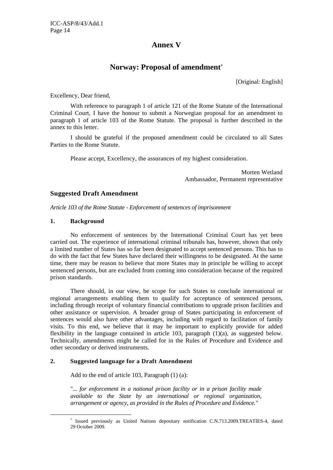### **Annex V**

### **Norway: Proposal of amendment**<sup>∗</sup>

[Original: English]

Excellency, Dear friend,

With reference to paragraph 1 of article 121 of the Rome Statute of the International Criminal Court, I have the honour to submit a Norwegian proposal for an amendment to paragraph 1 of article 103 of the Rome Statute. The proposal is further described in the annex to this letter.

I should be grateful if the proposed amendment could be circulated to all Sates Parties to the Rome Statute.

Please accept, Excellency, the assurances of my highest consideration.

Morten Wetland Ambassador, Permanent representative

### **Suggested Draft Amendment**

*Article 103 of the Rome Statute - Enforcement of sentences of imprisonment*

### **1. Background**

 $\overline{a}$ 

No enforcement of sentences by the International Criminal Court has yet been carried out. The experience of international criminal tribunals has, however, shown that only a limited number of States has so far been designated to accept sentenced persons. This has to do with the fact that few States have declared their willingness to be designated. At the same time, there may be reason to believe that more States may in principle be willing to accept sentenced persons, but are excluded from coming into consideration because of the required prison standards.

There should, in our view, be scope for such States to conclude international or regional arrangements enabling them to qualify for acceptance of sentenced persons, including through receipt of voluntary financial contributions to upgrade prison facilities and other assistance or supervision. A broader group of States participating in enforcement of sentences would also have other advantages, including with regard to facilitation of family visits. To this end, we believe that it may be important to explicitly provide for added flexibility in the language contained in article  $103$ , paragraph  $(1)(a)$ , as suggested below. Technically, amendments might be called for in the Rules of Procedure and Evidence and other secondary or derived instruments.

### **2. Suggested language for a Draft Amendment**

Add to the end of article 103, Paragraph (1) (a):

"... *for enforcement in a national prison facility or in a prison facility made available to the State by an international or regional organization, arrangement or agency, as provided in the Rules of Procedure and Evidence."*

<sup>∗</sup> Issued previously as United Nations depositary notification C.N.713.2009.TREATIES-4, dated 29 October 2009.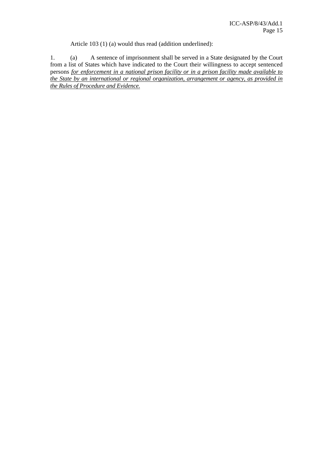Article 103 (1) (a) would thus read (addition underlined):

1. (a) A sentence of imprisonment shall be served in a State designated by the Court from a list of States which have indicated to the Court their willingness to accept sentenced persons *for enforcement in a national prison facility or in a prison facility made available to the State by an international or regional organization, arrangement or agency, as provided in the Rules of Procedure and Evidence.*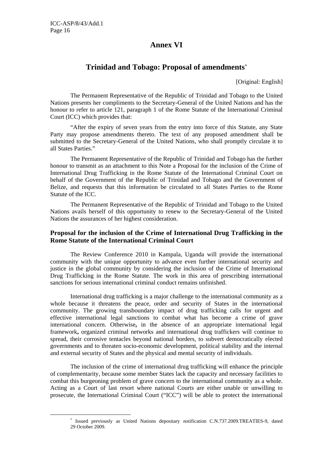$\overline{a}$ 

### **Annex VI**

### **Trinidad and Tobago: Proposal of amendments**<sup>∗</sup>

[Original: English]

The Permanent Representative of the Republic of Trinidad and Tobago to the United Nations presents her compliments to the Secretary-General of the United Nations and has the honour to refer to article 121, paragraph 1 of the Rome Statute of the International Criminal Court (ICC) which provides that:

"After the expiry of seven years from the entry into force of this Statute, any State Party may propose amendments thereto. The text of any proposed amendment shall be submitted to the Secretary-General of the United Nations, who shall promptly circulate it to all States Parties."

The Permanent Representative of the Republic of Trinidad and Tobago has the further honour to transmit as an attachment to this Note a Proposal for the inclusion of the Crime of International Drug Trafficking in the Rome Statute of the International Criminal Court on behalf of the Government of the Republic of Trinidad and Tobago and the Government of Belize, and requests that this information be circulated to all States Parties to the Rome Statute of the ICC.

The Permanent Representative of the Republic of Trinidad and Tobago to the United Nations avails herself of this opportunity to renew to the Secretary-General of the United Nations the assurances of her highest consideration.

### **Proposal for the inclusion of the Crime of International Drug Trafficking in the Rome Statute of the International Criminal Court**

The Review Conference 2010 in Kampala, Uganda will provide the international community with the unique opportunity to advance even further international security and justice in the global community by considering the inclusion of the Crime of International Drug Trafficking in the Rome Statute. The work in this area of prescribing international sanctions for serious international criminal conduct remains unfinished.

International drug trafficking is a major challenge to the international community as a whole because it threatens the peace, order and security of States in the international community. The growing transboundary impact of drug trafficking calls for urgent and effective international legal sanctions to combat what has become a crime of grave international concern. Otherwise**,** in the absence of an appropriate international legal framework**,** organized criminal networks and international drug traffickers will continue to spread, their corrosive tentacles beyond national borders, to subvert democratically elected governments and to threaten socio-economic development, political stability and the internal and external security of States and the physical and mental security of individuals.

The inclusion of the crime of international drug trafficking will enhance the principle of complementarity, because some member States lack the capacity and necessary facilities to combat this burgeoning problem of grave concern to the international community as a whole. Acting as a Court of last resort where national Courts are either unable or unwilling to prosecute, the International Criminal Court ("ICC") will be able to protect the international

<sup>∗</sup> Issued previously as United Nations depositary notification C.N.737.2009.TREATIES-9, dated 29 October 2009.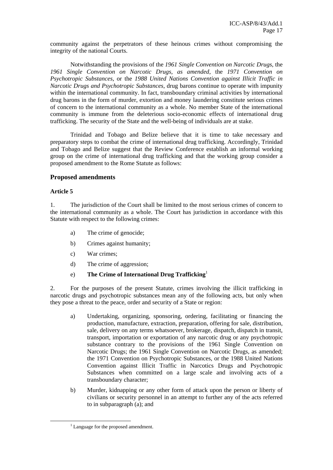community against the perpetrators of these heinous crimes without compromising the integrity of the national Courts.

Notwithstanding the provisions of the *1961 Single Convention on Narcotic Drugs*, the *1961 Single Convention on Narcotic Drugs, as amended*, the *1971 Convention on Psychotropic Substances*, or the *1988 United Nations Convention against Illicit Traffic in Narcotic Drugs and Psychotropic Substances*, drug barons continue to operate with impunity within the international community. In fact, transboundary criminal activities by international drug barons in the form of murder, extortion and money laundering constitute serious crimes of concern to the international community as a whole. No member State of the international community is immune from the deleterious socio-economic effects of international drug trafficking. The security of the State and the well-being of individuals are at stake.

Trinidad and Tobago and Belize believe that it is time to take necessary and preparatory steps to combat the crime of international drug trafficking. Accordingly, Trinidad and Tobago and Belize suggest that the Review Conference establish an informal working group on the crime of international drug trafficking and that the working group consider a proposed amendment to the Rome Statute as follows:

#### **Proposed amendments**

#### **Article 5**

1. The jurisdiction of the Court shall be limited to the most serious crimes of concern to the international community as a whole. The Court has jurisdiction in accordance with this Statute with respect to the following crimes:

- a) The crime of genocide;
- b) Crimes against humanity;
- c) War crimes;
- d) The crime of aggression;
- e) **The Crime of International Drug Trafficking**<sup>1</sup>

2. For the purposes of the present Statute, crimes involving the illicit trafficking in narcotic drugs and psychotropic substances mean any of the following acts, but only when they pose a threat to the peace, order and security of a State or region:

- a) Undertaking, organizing, sponsoring, ordering, facilitating or financing the production, manufacture, extraction, preparation, offering for sale, distribution, sale, delivery on any terms whatsoever, brokerage, dispatch, dispatch in transit, transport, importation or exportation of any narcotic drug or any psychotropic substance contrary to the provisions of the 1961 Single Convention on Narcotic Drugs; the 1961 Single Convention on Narcotic Drugs, as amended; the 1971 Convention on Psychotropic Substances, or the 1988 United Nations Convention against Illicit Traffic in Narcotics Drugs and Psychotropic Substances when committed on a large scale and involving acts of a transboundary character;
- b) Murder, kidnapping or any other form of attack upon the person or liberty of civilians or security personnel in an attempt to further any of the acts referred to in subparagraph (a); and

 $\frac{1}{1}$  $1$  Language for the proposed amendment.